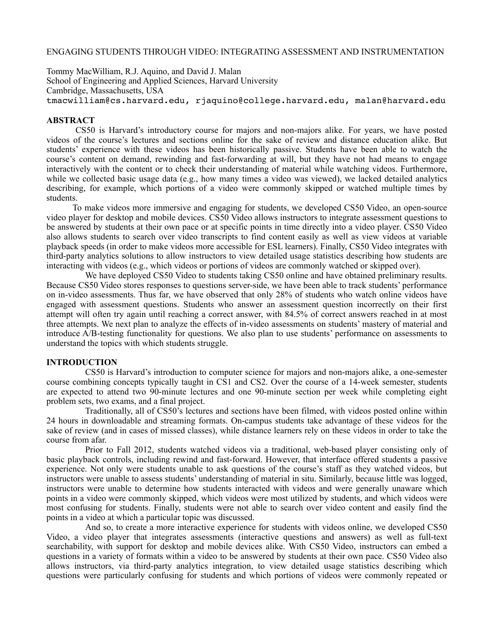#### ENGAGING STUDENTS THROUGH VIDEO: INTEGRATING ASSESSMENT AND INSTRUMENTATION

Tommy MacWilliam, R.J. Aquino, and David J. Malan School of Engineering and Applied Sciences, Harvard University Cambridge, Massachusetts, USA [tmacwilliam@cs.harvard.edu](mailto:tmacwilliam@cs.harvard.edu), [rjaquino@college.harvard.edu](mailto:rjaquino@college.harvard.edu), [malan@harvard.edu](mailto:malan@harvard.edu)

#### **ABSTRACT**

 CS50 is Harvard's introductory course for majors and non-majors alike. For years, we have posted videos of the course's lectures and sections online for the sake of review and distance education alike. But students' experience with these videos has been historically passive. Students have been able to watch the course's content on demand, rewinding and fast-forwarding at will, but they have not had means to engage interactively with the content or to check their understanding of material while watching videos. Furthermore, while we collected basic usage data (e.g., how many times a video was viewed), we lacked detailed analytics describing, for example, which portions of a video were commonly skipped or watched multiple times by students.

To make videos more immersive and engaging for students, we developed CS50 Video, an open-source video player for desktop and mobile devices. CS50 Video allows instructors to integrate assessment questions to be answered by students at their own pace or at specific points in time directly into a video player. CS50 Video also allows students to search over video transcripts to find content easily as well as view videos at variable playback speeds (in order to make videos more accessible for ESL learners). Finally, CS50 Video integrates with third-party analytics solutions to allow instructors to view detailed usage statistics describing how students are interacting with videos (e.g., which videos or portions of videos are commonly watched or skipped over).

We have deployed CS50 Video to students taking CS50 online and have obtained preliminary results. Because CS50 Video stores responses to questions server-side, we have been able to track students' performance on in-video assessments. Thus far, we have observed that only 28% of students who watch online videos have engaged with assessment questions. Students who answer an assessment question incorrectly on their first attempt will often try again until reaching a correct answer, with 84.5% of correct answers reached in at most three attempts. We next plan to analyze the effects of in-video assessments on students' mastery of material and introduce A/B-testing functionality for questions. We also plan to use students' performance on assessments to understand the topics with which students struggle.

#### **INTRODUCTION**

CS50 is Harvard's introduction to computer science for majors and non-majors alike, a one-semester course combining concepts typically taught in CS1 and CS2. Over the course of a 14-week semester, students are expected to attend two 90-minute lectures and one 90-minute section per week while completing eight problem sets, two exams, and a final project.

Traditionally, all of CS50's lectures and sections have been filmed, with videos posted online within 24 hours in downloadable and streaming formats. On-campus students take advantage of these videos for the sake of review (and in cases of missed classes), while distance learners rely on these videos in order to take the course from afar.

Prior to Fall 2012, students watched videos via a traditional, web-based player consisting only of basic playback controls, including rewind and fast-forward. However, that interface offered students a passive experience. Not only were students unable to ask questions of the course's staff as they watched videos, but instructors were unable to assess students' understanding of material in situ. Similarly, because little was logged, instructors were unable to determine how students interacted with videos and were generally unaware which points in a video were commonly skipped, which videos were most utilized by students, and which videos were most confusing for students. Finally, students were not able to search over video content and easily find the points in a video at which a particular topic was discussed.

And so, to create a more interactive experience for students with videos online, we developed CS50 Video, a video player that integrates assessments (interactive questions and answers) as well as full-text searchability, with support for desktop and mobile devices alike. With CS50 Video, instructors can embed a questions in a variety of formats within a video to be answered by students at their own pace. CS50 Video also allows instructors, via third-party analytics integration, to view detailed usage statistics describing which questions were particularly confusing for students and which portions of videos were commonly repeated or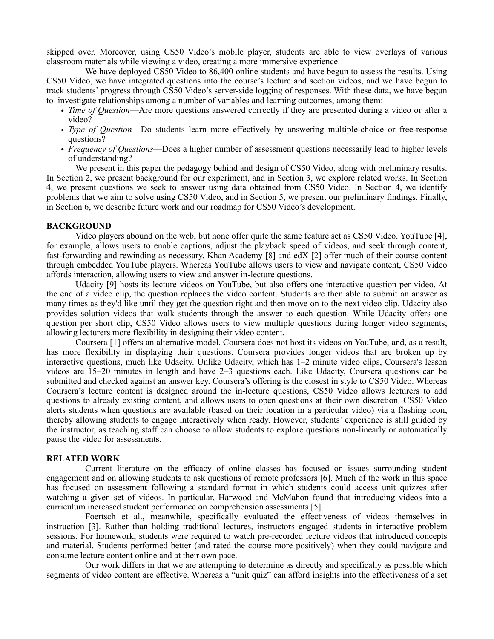skipped over. Moreover, using CS50 Video's mobile player, students are able to view overlays of various classroom materials while viewing a video, creating a more immersive experience.

We have deployed CS50 Video to 86,400 online students and have begun to assess the results. Using CS50 Video, we have integrated questions into the course's lecture and section videos, and we have begun to track students' progress through CS50 Video's server-side logging of responses. With these data, we have begun to investigate relationships among a number of variables and learning outcomes, among them:

- *Time of Question*—Are more questions answered correctly if they are presented during a video or after a video?
- *Type of Question*—Do students learn more effectively by answering multiple-choice or free-response questions?
- *Frequency of Questions*—Does a higher number of assessment questions necessarily lead to higher levels of understanding?

We present in this paper the pedagogy behind and design of CS50 Video, along with preliminary results. In Section 2, we present background for our experiment, and in Section 3, we explore related works. In Section 4, we present questions we seek to answer using data obtained from CS50 Video. In Section 4, we identify problems that we aim to solve using CS50 Video, and in Section 5, we present our preliminary findings. Finally, in Section 6, we describe future work and our roadmap for CS50 Video's development.

## **BACKGROUND**

Video players abound on the web, but none offer quite the same feature set as CS50 Video. YouTube [4], for example, allows users to enable captions, adjust the playback speed of videos, and seek through content, fast-forwarding and rewinding as necessary. Khan Academy [8] and edX [2] offer much of their course content through embedded YouTube players. Whereas YouTube allows users to view and navigate content, CS50 Video affords interaction, allowing users to view and answer in-lecture questions.

 Udacity [9] hosts its lecture videos on YouTube, but also offers one interactive question per video. At the end of a video clip, the question replaces the video content. Students are then able to submit an answer as many times as they'd like until they get the question right and then move on to the next video clip. Udacity also provides solution videos that walk students through the answer to each question. While Udacity offers one question per short clip, CS50 Video allows users to view multiple questions during longer video segments, allowing lecturers more flexibility in designing their video content.

 Coursera [1] offers an alternative model. Coursera does not host its videos on YouTube, and, as a result, has more flexibility in displaying their questions. Coursera provides longer videos that are broken up by interactive questions, much like Udacity. Unlike Udacity, which has 1–2 minute video clips, Coursera's lesson videos are 15–20 minutes in length and have 2–3 questions each. Like Udacity, Coursera questions can be submitted and checked against an answer key. Coursera's offering is the closest in style to CS50 Video. Whereas Coursera's lecture content is designed around the in-lecture questions, CS50 Video allows lecturers to add questions to already existing content, and allows users to open questions at their own discretion. CS50 Video alerts students when questions are available (based on their location in a particular video) via a flashing icon, thereby allowing students to engage interactively when ready. However, students' experience is still guided by the instructor, as teaching staff can choose to allow students to explore questions non-linearly or automatically pause the video for assessments.

#### **RELATED WORK**

Current literature on the efficacy of online classes has focused on issues surrounding student engagement and on allowing students to ask questions of remote professors [6]. Much of the work in this space has focused on assessment following a standard format in which students could access unit quizzes after watching a given set of videos. In particular, Harwood and McMahon found that introducing videos into a curriculum increased student performance on comprehension assessments [5].

Foertsch et al., meanwhile, specifically evaluated the effectiveness of videos themselves in instruction [3]. Rather than holding traditional lectures, instructors engaged students in interactive problem sessions. For homework, students were required to watch pre-recorded lecture videos that introduced concepts and material. Students performed better (and rated the course more positively) when they could navigate and consume lecture content online and at their own pace.

Our work differs in that we are attempting to determine as directly and specifically as possible which segments of video content are effective. Whereas a "unit quiz" can afford insights into the effectiveness of a set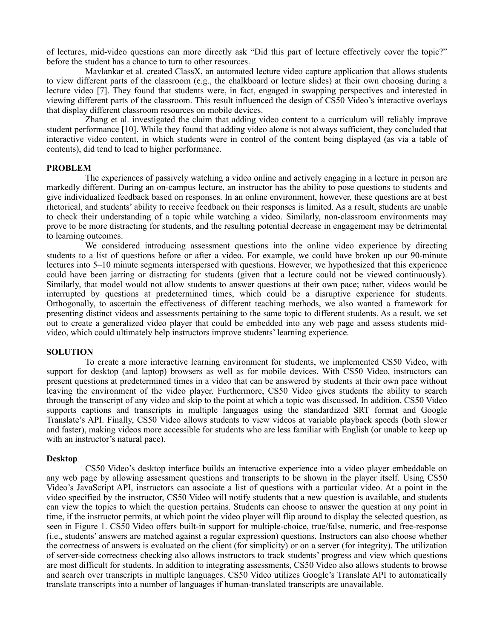of lectures, mid-video questions can more directly ask "Did this part of lecture effectively cover the topic?" before the student has a chance to turn to other resources.

Mavlankar et al. created ClassX, an automated lecture video capture application that allows students to view different parts of the classroom (e.g., the chalkboard or lecture slides) at their own choosing during a lecture video [7]. They found that students were, in fact, engaged in swapping perspectives and interested in viewing different parts of the classroom. This result influenced the design of CS50 Video's interactive overlays that display different classroom resources on mobile devices.

Zhang et al. investigated the claim that adding video content to a curriculum will reliably improve student performance [10]. While they found that adding video alone is not always sufficient, they concluded that interactive video content, in which students were in control of the content being displayed (as via a table of contents), did tend to lead to higher performance.

## **PROBLEM**

The experiences of passively watching a video online and actively engaging in a lecture in person are markedly different. During an on-campus lecture, an instructor has the ability to pose questions to students and give individualized feedback based on responses. In an online environment, however, these questions are at best rhetorical, and students' ability to receive feedback on their responses is limited. As a result, students are unable to check their understanding of a topic while watching a video. Similarly, non-classroom environments may prove to be more distracting for students, and the resulting potential decrease in engagement may be detrimental to learning outcomes.

We considered introducing assessment questions into the online video experience by directing students to a list of questions before or after a video. For example, we could have broken up our 90-minute lectures into 5–10 minute segments interspersed with questions. However, we hypothesized that this experience could have been jarring or distracting for students (given that a lecture could not be viewed continuously). Similarly, that model would not allow students to answer questions at their own pace; rather, videos would be interrupted by questions at predetermined times, which could be a disruptive experience for students. Orthogonally, to ascertain the effectiveness of different teaching methods, we also wanted a framework for presenting distinct videos and assessments pertaining to the same topic to different students. As a result, we set out to create a generalized video player that could be embedded into any web page and assess students midvideo, which could ultimately help instructors improve students' learning experience.

#### **SOLUTION**

To create a more interactive learning environment for students, we implemented CS50 Video, with support for desktop (and laptop) browsers as well as for mobile devices. With CS50 Video, instructors can present questions at predetermined times in a video that can be answered by students at their own pace without leaving the environment of the video player. Furthermore, CS50 Video gives students the ability to search through the transcript of any video and skip to the point at which a topic was discussed. In addition, CS50 Video supports captions and transcripts in multiple languages using the standardized SRT format and Google Translate's API. Finally, CS50 Video allows students to view videos at variable playback speeds (both slower and faster), making videos more accessible for students who are less familiar with English (or unable to keep up with an instructor's natural pace).

#### **Desktop**

CS50 Video's desktop interface builds an interactive experience into a video player embeddable on any web page by allowing assessment questions and transcripts to be shown in the player itself. Using CS50 Video's JavaScript API, instructors can associate a list of questions with a particular video. At a point in the video specified by the instructor, CS50 Video will notify students that a new question is available, and students can view the topics to which the question pertains. Students can choose to answer the question at any point in time, if the instructor permits, at which point the video player will flip around to display the selected question, as seen in Figure 1. CS50 Video offers built-in support for multiple-choice, true/false, numeric, and free-response (i.e., students' answers are matched against a regular expression) questions. Instructors can also choose whether the correctness of answers is evaluated on the client (for simplicity) or on a server (for integrity). The utilization of server-side correctness checking also allows instructors to track students' progress and view which questions are most difficult for students. In addition to integrating assessments, CS50 Video also allows students to browse and search over transcripts in multiple languages. CS50 Video utilizes Google's Translate API to automatically translate transcripts into a number of languages if human-translated transcripts are unavailable.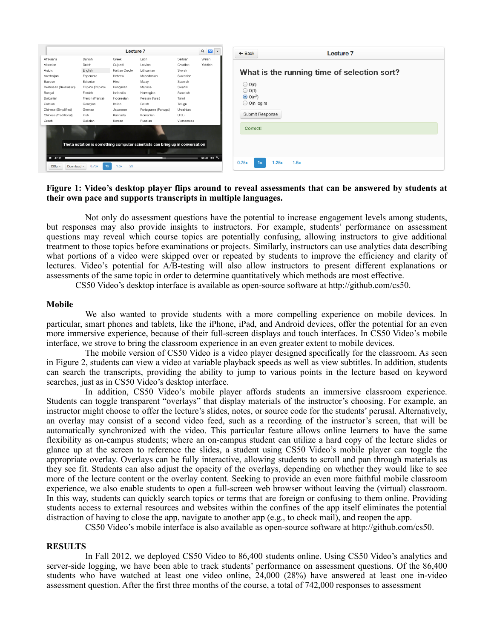|                                |                     | Lecture 7      |                                                                              |            | $Q$ $CO$ $\rightarrow$     |
|--------------------------------|---------------------|----------------|------------------------------------------------------------------------------|------------|----------------------------|
| Afrikaans                      | Danish              | Greek          | Latin                                                                        | Serbian    | Welsh                      |
| Albanian                       | Dutch               | Guiarati       | Latvian                                                                      | Croatian   | Yiddish                    |
| Arabic                         | English             | Haitian Creole | Lithuanian                                                                   | Slovak     |                            |
| Azerbaijani                    | Esperanto           | Hebrew         | Macedonian                                                                   | Slovenian  |                            |
| Basque                         | Estonian            | Hindi          | Malay                                                                        | Spanish    |                            |
| Belarusan (Belarusian)         | Filipino (Pilipino) | Hungarian      | Maltese                                                                      | Swahili    |                            |
| Bengali                        | Finnish             | Icelandic      | Norwegian                                                                    | Swedish    |                            |
| Bulgarian                      | French (France)     | Indonesian     | Persian (Farsi)                                                              | Tamil      |                            |
| Catalan                        | Georgian            | Italian        | Polish                                                                       | Telugu     |                            |
| Chinese (Simplified)           | German              | Japanese       | Portuguese (Portugal)                                                        | Ukrainian  |                            |
| Chinese (Traditional)          | <b>Irish</b>        | Kannada        | Romanian                                                                     | Urdu       |                            |
| Czech                          | Galician            | Korean         | Russian                                                                      | Vietnamese |                            |
|                                |                     |                |                                                                              |            |                            |
|                                |                     |                | Theta notation is something computer scientists can bring up in conversation |            |                            |
| $\blacktriangleright$ 47:31    |                     |                |                                                                              |            | $64:48$ 4) $\frac{\pi}{2}$ |
|                                |                     |                |                                                                              |            |                            |
| 720 <sub>p</sub><br>Download - | 0.75x<br>1x         | 2x<br>1.5x     |                                                                              |            |                            |

## **Figure 1: Video's desktop player flips around to reveal assessments that can be answered by students at their own pace and supports transcripts in multiple languages.**

Not only do assessment questions have the potential to increase engagement levels among students, but responses may also provide insights to instructors. For example, students' performance on assessment questions may reveal which course topics are potentially confusing, allowing instructors to give additional treatment to those topics before examinations or projects. Similarly, instructors can use analytics data describing what portions of a video were skipped over or repeated by students to improve the efficiency and clarity of lectures. Video's potential for A/B-testing will also allow instructors to present different explanations or assessments of the same topic in order to determine quantitatively which methods are most effective.

CS50 Video's desktop interface is available as open-source software at http://github.com/cs50.

#### **Mobile**

We also wanted to provide students with a more compelling experience on mobile devices. In particular, smart phones and tablets, like the iPhone, iPad, and Android devices, offer the potential for an even more immersive experience, because of their full-screen displays and touch interfaces. In CS50 Video's mobile interface, we strove to bring the classroom experience in an even greater extent to mobile devices.

The mobile version of CS50 Video is a video player designed specifically for the classroom. As seen in Figure 2, students can view a video at variable playback speeds as well as view subtitles. In addition, students can search the transcripts, providing the ability to jump to various points in the lecture based on keyword searches, just as in CS50 Video's desktop interface.

In addition, CS50 Video's mobile player affords students an immersive classroom experience. Students can toggle transparent "overlays" that display materials of the instructor's choosing. For example, an instructor might choose to offer the lecture's slides, notes, or source code for the students' perusal. Alternatively, an overlay may consist of a second video feed, such as a recording of the instructor's screen, that will be automatically synchronized with the video. This particular feature allows online learners to have the same flexibility as on-campus students; where an on-campus student can utilize a hard copy of the lecture slides or glance up at the screen to reference the slides, a student using CS50 Video's mobile player can toggle the appropriate overlay. Overlays can be fully interactive, allowing students to scroll and pan through materials as they see fit. Students can also adjust the opacity of the overlays, depending on whether they would like to see more of the lecture content or the overlay content. Seeking to provide an even more faithful mobile classroom experience, we also enable students to open a full-screen web browser without leaving the (virtual) classroom. In this way, students can quickly search topics or terms that are foreign or confusing to them online. Providing students access to external resources and websites within the confines of the app itself eliminates the potential distraction of having to close the app, navigate to another app (e.g., to check mail), and reopen the app.

CS50 Video's mobile interface is also available as open-source software at http://github.com/cs50.

#### **RESULTS**

In Fall 2012, we deployed CS50 Video to 86,400 students online. Using CS50 Video's analytics and server-side logging, we have been able to track students' performance on assessment questions. Of the 86,400 students who have watched at least one video online, 24,000 (28%) have answered at least one in-video assessment question. After the first three months of the course, a total of 742,000 responses to assessment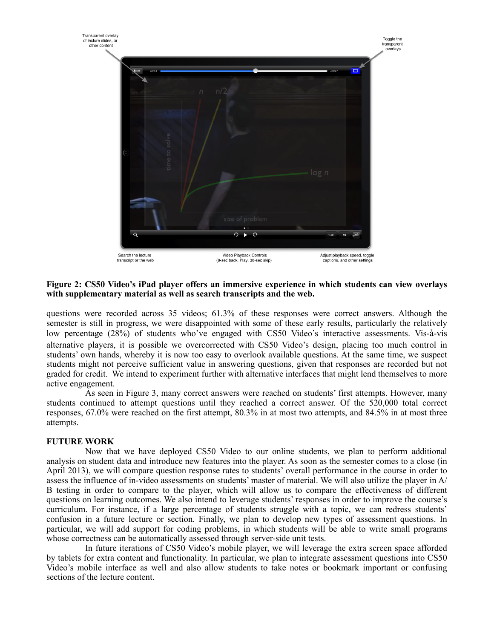

## **Figure 2: CS50 Video's iPad player offers an immersive experience in which students can view overlays with supplementary material as well as search transcripts and the web.**

questions were recorded across 35 videos; 61.3% of these responses were correct answers. Although the semester is still in progress, we were disappointed with some of these early results, particularly the relatively low percentage (28%) of students who've engaged with CS50 Video's interactive assessments. Vis-à-vis alternative players, it is possible we overcorrected with CS50 Video's design, placing too much control in students' own hands, whereby it is now too easy to overlook available questions. At the same time, we suspect students might not perceive sufficient value in answering questions, given that responses are recorded but not graded for credit. We intend to experiment further with alternative interfaces that might lend themselves to more active engagement.

As seen in Figure 3, many correct answers were reached on students' first attempts. However, many students continued to attempt questions until they reached a correct answer. Of the 520,000 total correct responses, 67.0% were reached on the first attempt, 80.3% in at most two attempts, and 84.5% in at most three attempts.

## **FUTURE WORK**

Now that we have deployed CS50 Video to our online students, we plan to perform additional analysis on student data and introduce new features into the player. As soon as the semester comes to a close (in April 2013), we will compare question response rates to students' overall performance in the course in order to assess the influence of in-video assessments on students' master of material. We will also utilize the player in A/ B testing in order to compare to the player, which will allow us to compare the effectiveness of different questions on learning outcomes. We also intend to leverage students' responses in order to improve the course's curriculum. For instance, if a large percentage of students struggle with a topic, we can redress students' confusion in a future lecture or section. Finally, we plan to develop new types of assessment questions. In particular, we will add support for coding problems, in which students will be able to write small programs whose correctness can be automatically assessed through server-side unit tests.

In future iterations of CS50 Video's mobile player, we will leverage the extra screen space afforded by tablets for extra content and functionality. In particular, we plan to integrate assessment questions into CS50 Video's mobile interface as well and also allow students to take notes or bookmark important or confusing sections of the lecture content.